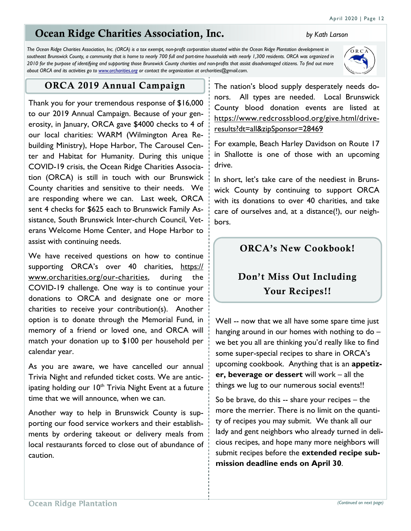# **Ocean Ridge Charities Association, Inc.** *by Kath Larson*

*The Ocean Ridge Charities Association, Inc. (ORCA) is a tax exempt, non-profit corporation situated within the Ocean Ridge Plantation development in*  southeast Brunswick County, a community that is home to nearly 700 full and part-time households with nearly 1,300 residents. ORCA was organized in *2010 for the purpose of identifying and supporting those Brunswick County charities and non-profits that assist disadvantaged citizens. To find out more about ORCA and its activities go to www.orcharities.org or contact the organization at orcharities@gmail.com.*

#### **ORCA 2019 Annual Campaign**

Thank you for your tremendous response of \$16,000 to our 2019 Annual Campaign. Because of your generosity, in January, ORCA gave \$4000 checks to 4 of our local charities: WARM (Wilmington Area Rebuilding Ministry), Hope Harbor, The Carousel Center and Habitat for Humanity. During this unique COVID-19 crisis, the Ocean Ridge Charities Association (ORCA) is still in touch with our Brunswick County charities and sensitive to their needs. We are responding where we can. Last week, ORCA sent 4 checks for \$625 each to Brunswick Family Assistance, South Brunswick Inter-church Council, Veterans Welcome Home Center, and Hope Harbor to assist with continuing needs.

We have received questions on how to continue supporting ORCA's over 40 charities, https:// www.orcharities.org/our-charities, during the COVID-19 challenge. One way is to continue your donations to ORCA and designate one or more charities to receive your contribution(s). Another option is to donate through the Memorial Fund, in memory of a friend or loved one, and ORCA will match your donation up to \$100 per household per calendar year.

As you are aware, we have cancelled our annual Trivia Night and refunded ticket costs. We are anticipating holding our  $10<sup>th</sup>$  Trivia Night Event at a future time that we will announce, when we can.

Another way to help in Brunswick County is supporting our food service workers and their establishments by ordering takeout or delivery meals from local restaurants forced to close out of abundance of caution.

The nation's blood supply desperately needs donors. All types are needed. Local Brunswick County blood donation events are listed at https://www.redcrossblood.org/give.html/driveresults?dt=all&zipSponsor=28469

For example, Beach Harley Davidson on Route 17 in Shallotte is one of those with an upcoming drive.

In short, let's take care of the neediest in Brunswick County by continuing to support ORCA with its donations to over 40 charities, and take care of ourselves and, at a distance(!), our neighbors.

## **ORCA's New Cookbook!**

# **Don't Miss Out Including Your Recipes!!**

Well -- now that we all have some spare time just hanging around in our homes with nothing to do – we bet you all are thinking you'd really like to find some super-special recipes to share in ORCA's upcoming cookbook. Anything that is an **appetizer, beverage or dessert** will work – all the things we lug to our numerous social events!!

So be brave, do this -- share your recipes – the more the merrier. There is no limit on the quantity of recipes you may submit. We thank all our lady and gent neighbors who already turned in delicious recipes, and hope many more neighbors will submit recipes before the **extended recipe submission deadline ends on April 30**.